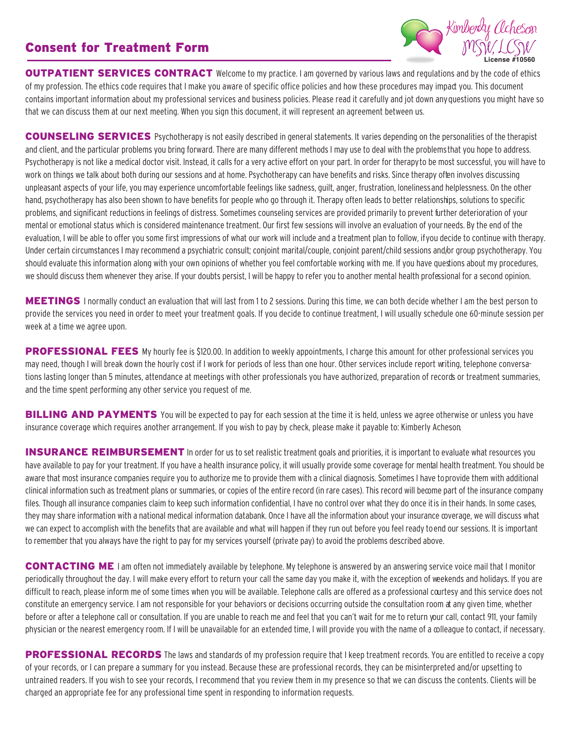## Consent for Treatment Form



OUTPATIENT SERVICES CONTRACT Welcome to my practice. I am governed by various laws and regulations and by the code of ethics of my profession. The ethics code requires that I make you aware of specific office policies and how these procedures may impact you. This document contains important information about my professional services and business policies. Please read it carefully and jot down anyquestions you might have so that we can discuss them at our next meeting. When you sign this document, it will represent an agreement between us.

COUNSELING SERVICES Psychotherapy is not easily described in general statements. It varies depending on the personalities of the therapist and client, and the particular problems you bring forward. There are many different methods I may use to deal with the problems that you hope to address. Psychotherapy is not like a medical doctor visit. Instead, it calls for a very active effort on your part. In order for therapy to be most successful, you will have to work on things we talk about both during our sessions and at home. Psychotherapy can have benefits and risks. Since therapy often involves discussing unpleasant aspects of your life, you may experience uncomfortable feelings like sadness, guilt, anger, frustration, lonelinessand helplessness. On the other hand, psychotherapy has also been shown to have benefits for people who go through it. Therapy often leads to better relationships, solutions to specific problems, and significant reductions in feelings of distress. Sometimes counseling services are provided primarily to prevent further deterioration of your mental or emotional status which is considered maintenance treatment. Our first few sessions will involve an evaluation of your needs. By the end of the evaluation, I will be able to offer you some first impressions of what our work will include and a treatment plan to follow, if you decide to continue with therapy. Under certain circumstances I may recommend a psychiatric consult; conjoint marital/couple, conjoint parent/child sessions and/or group psychotherapy. You should evaluate this information along with your own opinions of whether you feel comfortable working with me. If you have questions about my procedures, we should discuss them whenever they arise. If your doubts persist, I will be happy to refer you to another mental health professional for a second opinion.

MEETINGS I normally conduct an evaluation that will last from 1 to 2 sessions. During this time, we can both decide whether I am the best person to provide the services you need in order to meet your treatment goals. If you decide to continue treatment, I will usually schedule one 60-minute session per week at a time we agree upon.

PROFESSIONAL FEES My hourly fee is \$120.00. In addition to weekly appointments, I charge this amount for other professional services you may need, though I will break down the hourly cost if I work for periods of less than one hour. Other services include report writing, telephone conversations lasting longer than 5 minutes, attendance at meetings with other professionals you have authorized, preparation of records or treatment summaries, and the time spent performing any other service you request of me.

**BILLING AND PAYMENTS** You will be expected to pay for each session at the time it is held, unless we agree otherwise or unless you have insurance coverage which requires another arrangement. If you wish to pay by check, please make it payable to: Kimberly Acheson.

**INSURANCE REIMBURSEMENT** In order for us to set realistic treatment goals and priorities, it is important to evaluate what resources you have available to pay for your treatment. If you have a health insurance policy, it will usually provide some coverage for mental health treatment. You should be aware that most insurance companies require you to authorize me to provide them with a clinical diagnosis. Sometimes I have toprovide them with additional clinical information such as treatment plans or summaries, or copies of the entire record (in rare cases). This record will become part of the insurance company files. Though all insurance companies claim to keep such information confidential, I have no control over what they do once itis in their hands. In some cases, they may share information with a national medical information databank. Once I have all the information about your insurance coverage, we will discuss what we can expect to accomplish with the benefits that are available and what will happen if they run out before you feel ready toend our sessions. It is important to remember that you always have the right to pay for my services yourself (private pay) to avoid the problems described above.

CONTACTING ME I am often not immediately available by telephone. My telephone is answered by an answering service voice mail that I monitor periodically throughout the day. I will make every effort to return your call the same day you make it, with the exception of weekends and holidays. If you are difficult to reach, please inform me of some times when you will be available. Telephone calls are offered as a professional courtesy and this service does not constitute an emergency service. I am not responsible for your behaviors or decisions occurring outside the consultation room at any given time, whether before or after a telephone call or consultation. If you are unable to reach me and feel that you can't wait for me to return your call, contact 911, your family physician or the nearest emergency room. If I will be unavailable for an extended time, I will provide you with the name of a colleague to contact, if necessary.

PROFESSIONAL RECORDS The laws and standards of my profession require that I keep treatment records. You are entitled to receive a copy of your records, or I can prepare a summary for you instead. Because these are professional records, they can be misinterpreted and/or upsetting to untrained readers. If you wish to see your records, I recommend that you review them in my presence so that we can discuss the contents. Clients will be charged an appropriate fee for any professional time spent in responding to information requests.